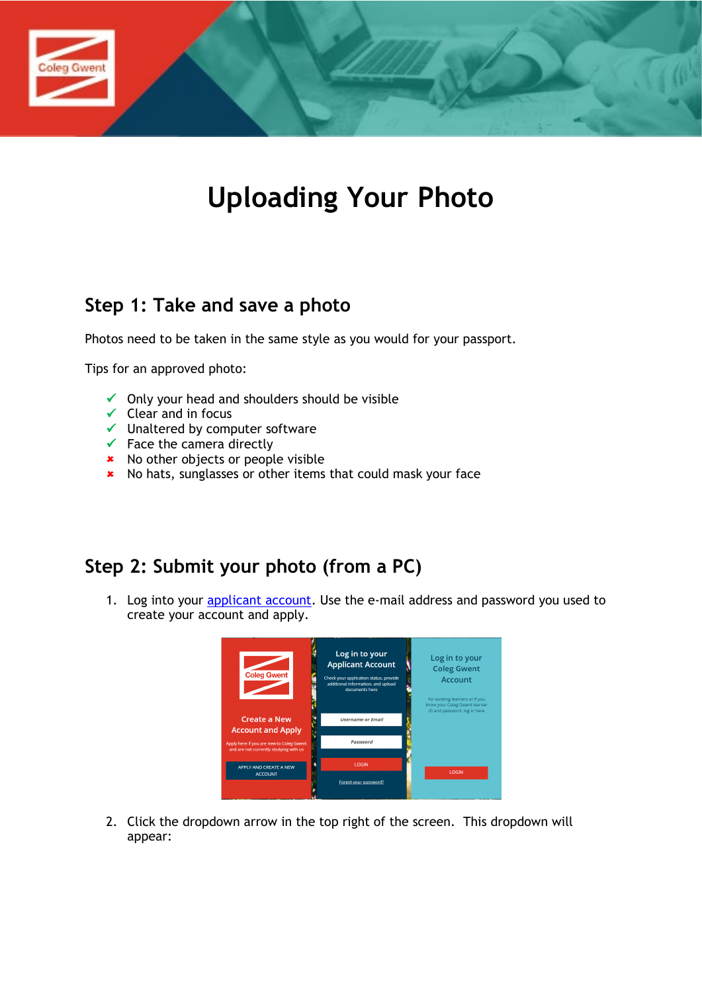

# **Uploading Your Photo**

# **Step 1: Take and save a photo**

Photos need to be taken in the same style as you would for your passport.

Tips for an approved photo:

- $\checkmark$  Only your head and shoulders should be visible
- $\checkmark$  Clear and in focus
- $\checkmark$  Unaltered by computer software
- $\checkmark$  Face the camera directly
- \* No other objects or people visible
- \* No hats, sunglasses or other items that could mask your face

## **Step 2: Submit your photo (from a PC)**

1. Log into your [applicant account.](https://enrolment.coleggwent.ac.uk/) Use the e-mail address and password you used to create your account and apply.



2. Click the dropdown arrow in the top right of the screen. This dropdown will appear: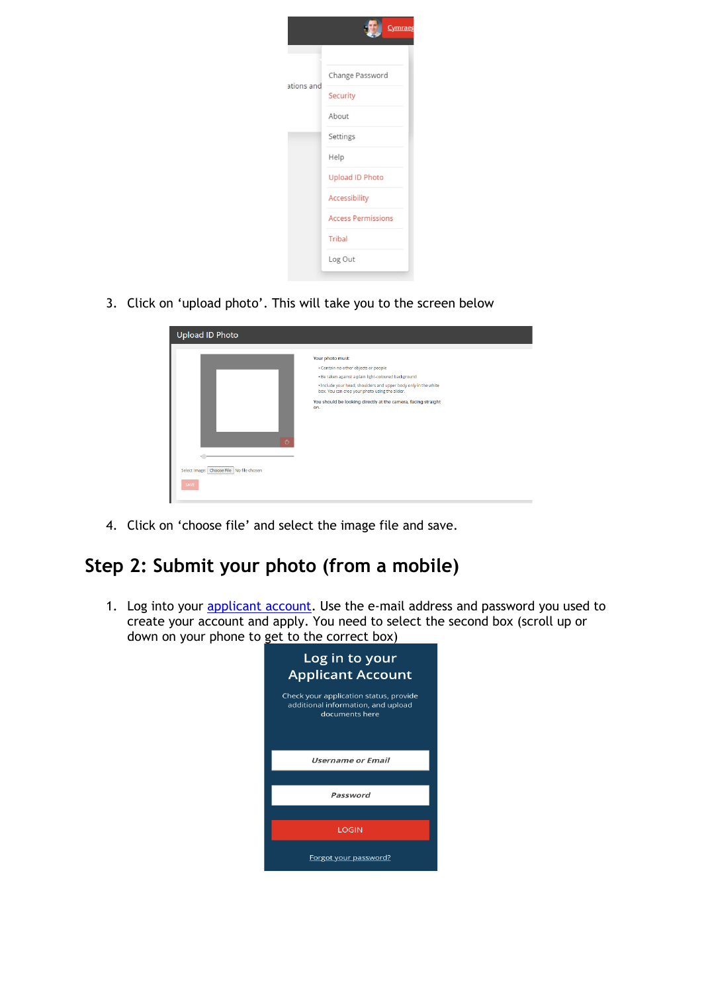

3. Click on 'upload photo'. This will take you to the screen below

| <b>Upload ID Photo</b>                        | Your photo must:<br>· Contain no other objects or people<br>· Be taken against a plain light-coloured background<br>· Include your head, shoulders and upper body only in the white<br>box. You can crop your photo using the slider. |
|-----------------------------------------------|---------------------------------------------------------------------------------------------------------------------------------------------------------------------------------------------------------------------------------------|
| Ò<br>Select Image: Choose File No file chosen | You should be looking directly at the camera, facing straight<br>on.                                                                                                                                                                  |
| SAVE                                          |                                                                                                                                                                                                                                       |

4. Click on 'choose file' and select the image file and save.

# **Step 2: Submit your photo (from a mobile)**

1. Log into your **applicant account**. Use the e-mail address and password you used to create your account and apply. You need to select the second box (scroll up or down on your phone to get to the correct box)